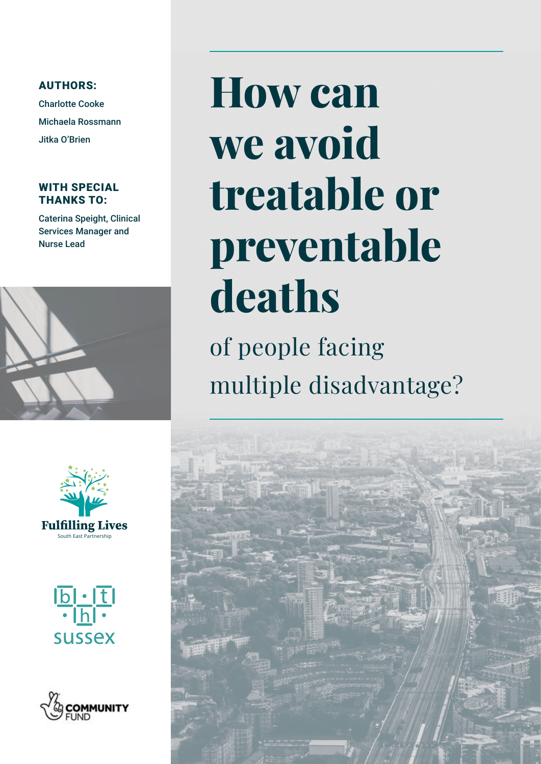AUTHORS:

Charlotte Cooke Michaela Rossmann Jitka O'Brien

### WITH SPECIAL THANKS TO:

Caterina Speight, Clinical Services Manager and Nurse Lead



# **How can we avoid treatable or preventable deaths**

of people facing multiple disadvantage?







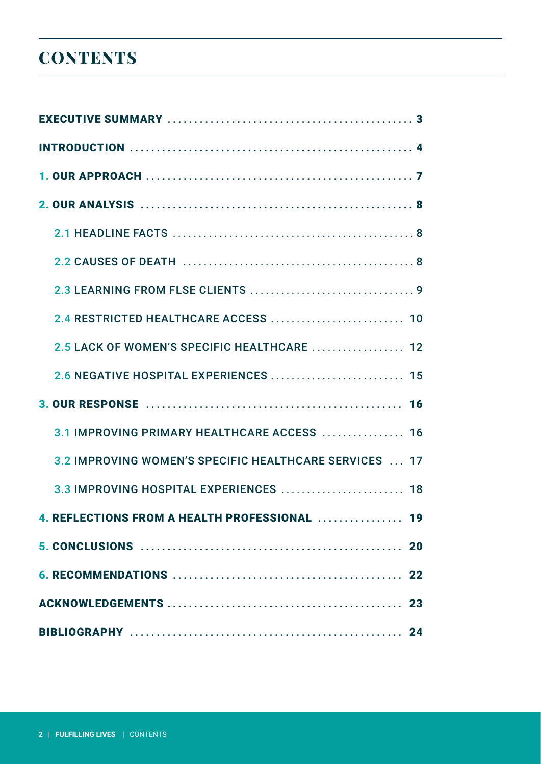### **CONTENTS**

| 2.4 RESTRICTED HEALTHCARE ACCESS  10                   |
|--------------------------------------------------------|
| 2.5 LACK OF WOMEN'S SPECIFIC HEALTHCARE  12            |
| 2.6 NEGATIVE HOSPITAL EXPERIENCES  15                  |
|                                                        |
| 3.1 IMPROVING PRIMARY HEALTHCARE ACCESS  16            |
| 3.2 IMPROVING WOMEN'S SPECIFIC HEALTHCARE SERVICES  17 |
| 3.3 IMPROVING HOSPITAL EXPERIENCES  18                 |
| 4. REFLECTIONS FROM A HEALTH PROFESSIONAL  19          |
|                                                        |
|                                                        |
|                                                        |
|                                                        |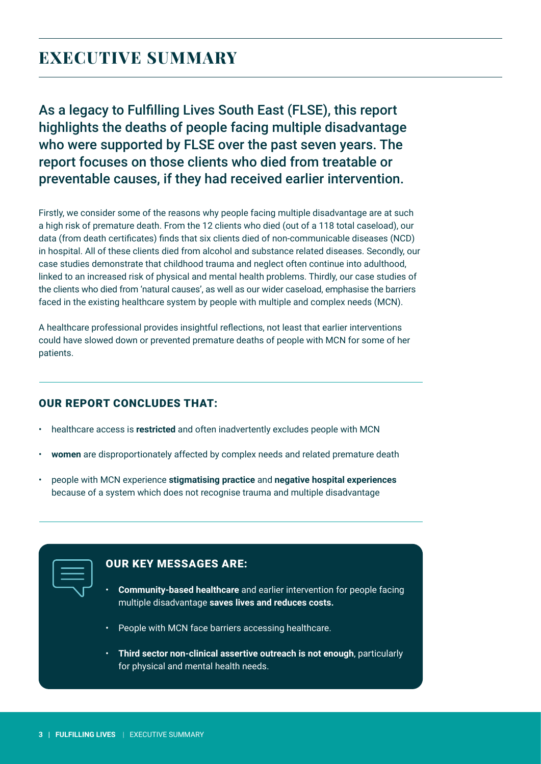### <span id="page-2-0"></span>**EXECUTIVE SUMMARY**

As a legacy to Fulfilling Lives South East (FLSE), this report highlights the deaths of people facing multiple disadvantage who were supported by FLSE over the past seven years. The report focuses on those clients who died from treatable or preventable causes, if they had received earlier intervention.

Firstly, we consider some of the reasons why people facing multiple disadvantage are at such a high risk of premature death. From the 12 clients who died (out of a 118 total caseload), our data (from death certificates) finds that six clients died of non-communicable diseases (NCD) in hospital. All of these clients died from alcohol and substance related diseases. Secondly, our case studies demonstrate that childhood trauma and neglect often continue into adulthood, linked to an increased risk of physical and mental health problems. Thirdly, our case studies of the clients who died from 'natural causes', as well as our wider caseload, emphasise the barriers faced in the existing healthcare system by people with multiple and complex needs (MCN).

A healthcare professional provides insightful reflections, not least that earlier interventions could have slowed down or prevented premature deaths of people with MCN for some of her patients.

### OUR REPORT CONCLUDES THAT:

- healthcare access is **restricted** and often inadvertently excludes people with MCN
- **women** are disproportionately affected by complex needs and related premature death
- people with MCN experience **stigmatising practice** and **negative hospital experiences** because of a system which does not recognise trauma and multiple disadvantage

| _______                                                                                                               |
|-----------------------------------------------------------------------------------------------------------------------|
| <b>Contract Contract Contract Contract Contract Contract Contract Contract Contract Contract Contract Contract Co</b> |
| ________                                                                                                              |
|                                                                                                                       |

### OUR KEY MESSAGES ARE:

- **Community-based healthcare** and earlier intervention for people facing multiple disadvantage **saves lives and reduces costs.**
- People with MCN face barriers accessing healthcare.
- **Third sector non-clinical assertive outreach is not enough**, particularly for physical and mental health needs.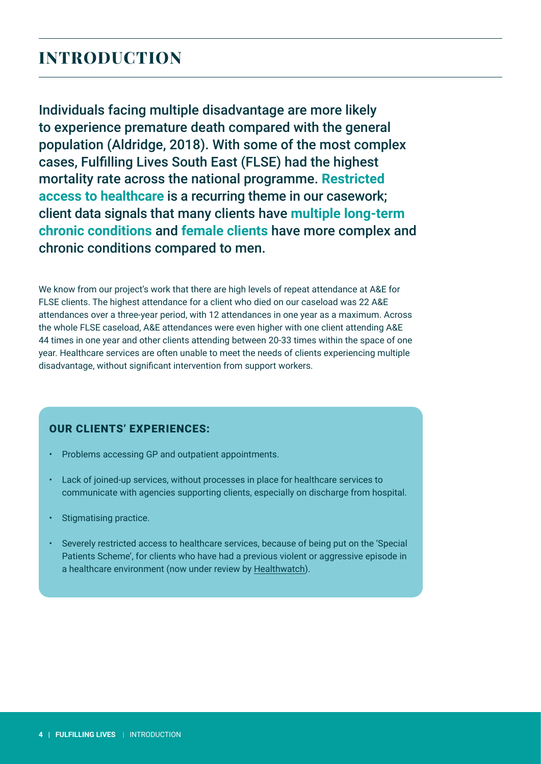### <span id="page-3-0"></span>**INTRODUCTION**

Individuals facing multiple disadvantage are more likely to experience premature death compared with the general population (Aldridge, 2018). With some of the most complex cases, Fulfilling Lives South East (FLSE) had the highest mortality rate across the national programme. **Restricted access to healthcare** is a recurring theme in our casework; client data signals that many clients have **multiple long-term chronic conditions** and **female clients** have more complex and chronic conditions compared to men.

We know from our project's work that there are high levels of repeat attendance at A&E for FLSE clients. The highest attendance for a client who died on our caseload was 22 A&E attendances over a three-year period, with 12 attendances in one year as a maximum. Across the whole FLSE caseload, A&E attendances were even higher with one client attending A&E 44 times in one year and other clients attending between 20-33 times within the space of one year. Healthcare services are often unable to meet the needs of clients experiencing multiple disadvantage, without significant intervention from support workers.

#### OUR CLIENTS' EXPERIENCES:

- Problems accessing GP and outpatient appointments.
- Lack of joined-up services, without processes in place for healthcare services to communicate with agencies supporting clients, especially on discharge from hospital.
- Stigmatising practice.
- Severely restricted access to healthcare services, because of being put on the 'Special Patients Scheme', for clients who have had a previous violent or aggressive episode in a healthcare environment (now under review by [Healthwatch\)](https://www.healthwatch.co.uk/).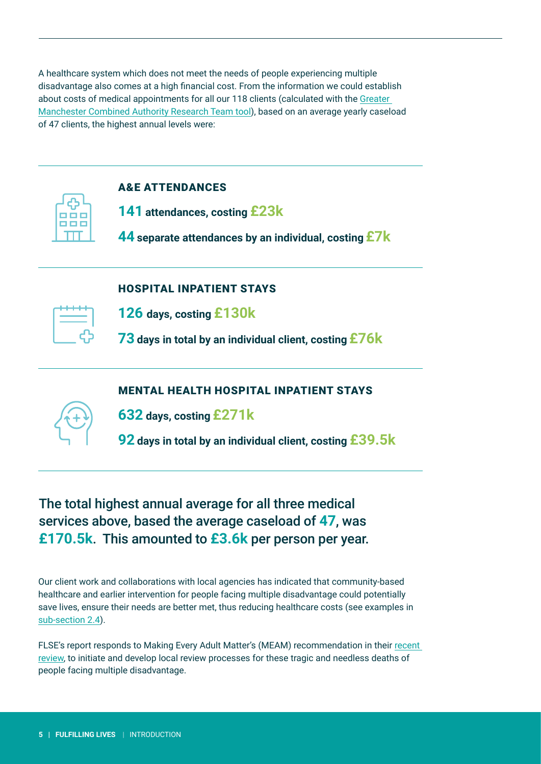A healthcare system which does not meet the needs of people experiencing multiple disadvantage also comes at a high financial cost. From the information we could establish about costs of medical appointments for all our 118 clients (calculated with the [Greater](https://www.greatermanchester-ca.gov.uk/what-we-do/research/research-cost-benefit-analysis/)  [Manchester Combined Authority Research Team tool](https://www.greatermanchester-ca.gov.uk/what-we-do/research/research-cost-benefit-analysis/)), based on an average yearly caseload of 47 clients, the highest annual levels were:



### A&E ATTENDANCES

**141 attendances, costing £23k**

**44 separate attendances by an individual, costing £7k**

### HOSPITAL INPATIENT STAYS

| - 1 | -- |  |
|-----|----|--|

**126 days, costing £130k**

**73 days in total by an individual client, costing £76k**

### MENTAL HEALTH HOSPITAL INPATIENT STAYS



**632 days, costing £271k**

**92 days in total by an individual client, costing £39.5k**

### The total highest annual average for all three medical services above, based the average caseload of **47**, was **£170.5k**. This amounted to **£3.6k** per person per year.

Our client work and collaborations with local agencies has indicated that community-based healthcare and earlier intervention for people facing multiple disadvantage could potentially save lives, ensure their needs are better met, thus reducing healthcare costs (see examples in [sub-section 2.4](#page-9-0)).

FLSE's report responds to Making Every Adult Matter's (MEAM) recommendation in their [recent](#page-23-0)  [review](#page-23-0), to initiate and develop local review processes for these tragic and needless deaths of people facing multiple disadvantage.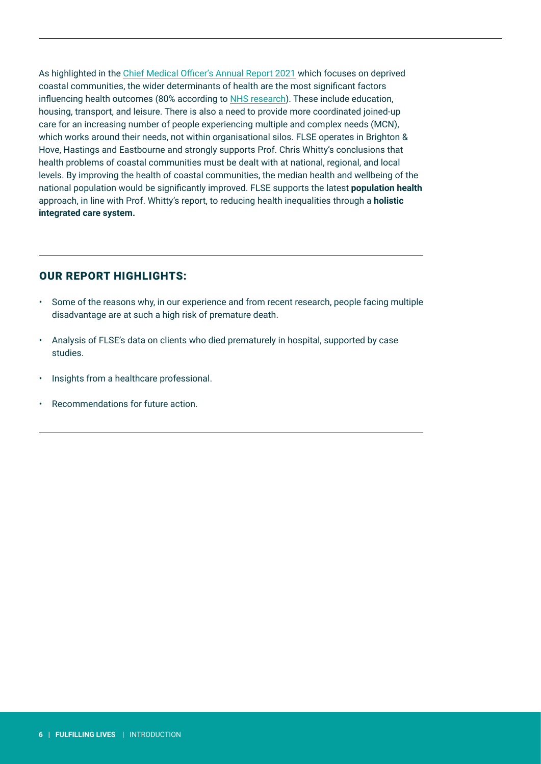As highlighted in the [Chief Medical Officer's Annual Report 2021](https://www.gov.uk/government/publications/chief-medical-officers-annual-report-2021-health-in-coastal-communities) which focuses on deprived coastal communities, the wider determinants of health are the most significant factors influencing health outcomes (80% according to [NHS research](https://www.england.nhs.uk/expo/wp-content/uploads/sites/18/2018/09/13.45-Population-health-analytics-P7J.pdf)). These include education, housing, transport, and leisure. There is also a need to provide more coordinated joined-up care for an increasing number of people experiencing multiple and complex needs (MCN), which works around their needs, not within organisational silos. FLSE operates in Brighton & Hove, Hastings and Eastbourne and strongly supports Prof. Chris Whitty's conclusions that health problems of coastal communities must be dealt with at national, regional, and local levels. By improving the health of coastal communities, the median health and wellbeing of the national population would be significantly improved. FLSE supports the latest **population health** approach, in line with Prof. Whitty's report, to reducing health inequalities through a **holistic integrated care system.**

### OUR REPORT HIGHLIGHTS:

- Some of the reasons why, in our experience and from recent research, people facing multiple disadvantage are at such a high risk of premature death.
- Analysis of FLSE's data on clients who died prematurely in hospital, supported by case studies.
- Insights from a healthcare professional.
- Recommendations for future action.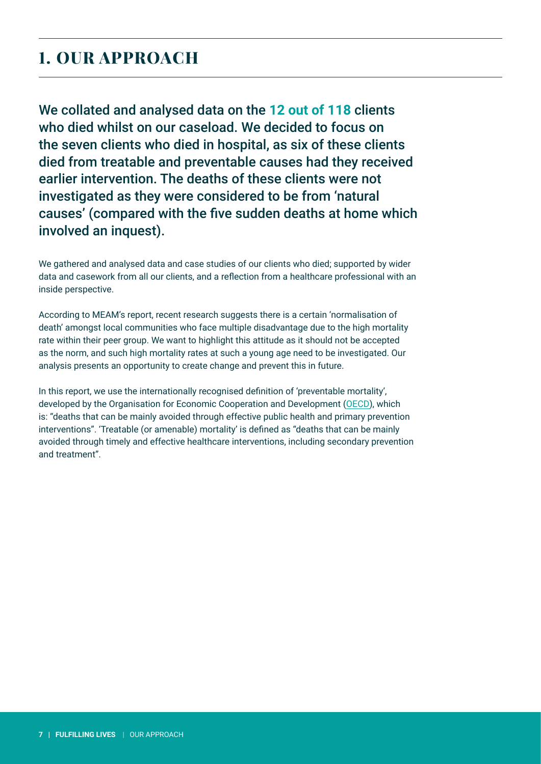### <span id="page-6-0"></span>**1. OUR APPROACH**

We collated and analysed data on the **12 out of 118** clients who died whilst on our caseload. We decided to focus on the seven clients who died in hospital, as six of these clients died from treatable and preventable causes had they received earlier intervention. The deaths of these clients were not investigated as they were considered to be from 'natural causes' (compared with the five sudden deaths at home which involved an inquest).

We gathered and analysed data and case studies of our clients who died; supported by wider data and casework from all our clients, and a reflection from a healthcare professional with an inside perspective.

According to MEAM's report, recent research suggests there is a certain 'normalisation of death' amongst local communities who face multiple disadvantage due to the high mortality rate within their peer group. We want to highlight this attitude as it should not be accepted as the norm, and such high mortality rates at such a young age need to be investigated. Our analysis presents an opportunity to create change and prevent this in future.

In this report, we use the internationally recognised definition of 'preventable mortality', developed by the Organisation for Economic Cooperation and Development [\(OECD](https://www.oecd-ilibrary.org/sites/3b4fdbf2-en/index.html?itemId=/content/component/3b4fdbf2-en)), which is: "deaths that can be mainly avoided through effective public health and primary prevention interventions". 'Treatable (or amenable) mortality' is defined as "deaths that can be mainly avoided through timely and effective healthcare interventions, including secondary prevention and treatment".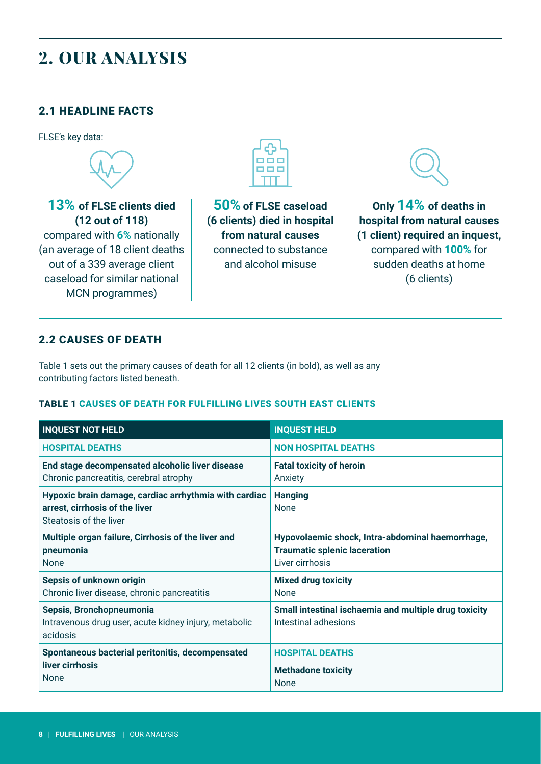### <span id="page-7-0"></span>**2. OUR ANALYSIS**

### 2.1 HEADLINE FACTS

FLSE's key data:



**13% of FLSE clients died (12 out of 118)** compared with **6%** nationally (an average of 18 client deaths out of a 339 average client caseload for similar national MCN programmes)



**50% of FLSE caseload (6 clients) died in hospital from natural causes**  connected to substance and alcohol misuse

**Only 14% of deaths in hospital from natural causes (1 client) required an inquest,** compared with **100%** for sudden deaths at home (6 clients)

### 2.2 CAUSES OF DEATH

Table 1 sets out the primary causes of death for all 12 clients (in bold), as well as any contributing factors listed beneath.

#### TABLE 1 CAUSES OF DEATH FOR FULFILLING LIVES SOUTH EAST CLIENTS

| <b>INQUEST NOT HELD</b>                                                                                           | <b>INQUEST HELD</b>                                                                                        |
|-------------------------------------------------------------------------------------------------------------------|------------------------------------------------------------------------------------------------------------|
| <b>HOSPITAL DEATHS</b>                                                                                            | <b>NON HOSPITAL DEATHS</b>                                                                                 |
| End stage decompensated alcoholic liver disease<br>Chronic pancreatitis, cerebral atrophy                         | <b>Fatal toxicity of heroin</b><br>Anxiety                                                                 |
| Hypoxic brain damage, cardiac arrhythmia with cardiac<br>arrest, cirrhosis of the liver<br>Steatosis of the liver | <b>Hanging</b><br><b>None</b>                                                                              |
| Multiple organ failure, Cirrhosis of the liver and<br>pneumonia<br><b>None</b>                                    | Hypovolaemic shock, Intra-abdominal haemorrhage,<br><b>Traumatic splenic laceration</b><br>Liver cirrhosis |
| Sepsis of unknown origin<br>Chronic liver disease, chronic pancreatitis                                           | <b>Mixed drug toxicity</b><br>None                                                                         |
| Sepsis, Bronchopneumonia<br>Intravenous drug user, acute kidney injury, metabolic<br>acidosis                     | Small intestinal ischaemia and multiple drug toxicity<br>Intestinal adhesions                              |
| Spontaneous bacterial peritonitis, decompensated                                                                  | <b>HOSPITAL DEATHS</b>                                                                                     |
| liver cirrhosis<br><b>None</b>                                                                                    | <b>Methadone toxicity</b><br>None                                                                          |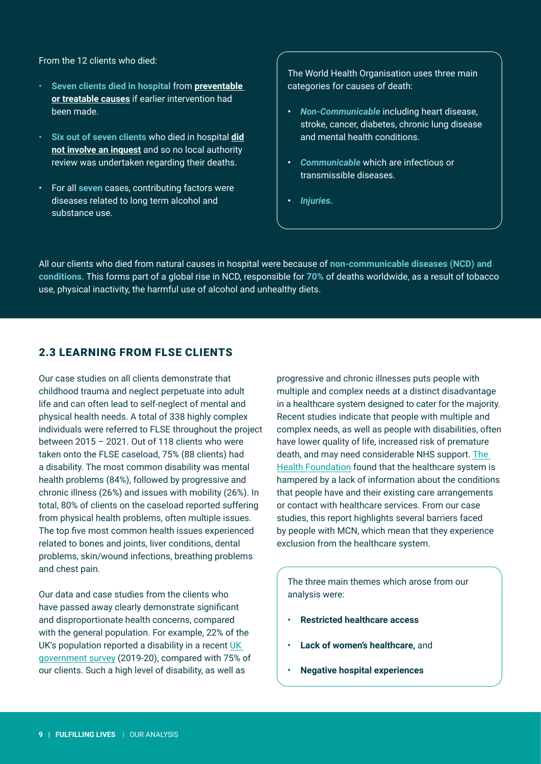<span id="page-8-0"></span>From the 12 clients who died:

- **Seven clients died in hospital** from **preventable or treatable causes** if earlier intervention had been made.
- **Six out of seven clients** who died in hospital **did not involve an inquest** and so no local authority review was undertaken regarding their deaths.
- For all **seven** cases, contributing factors were diseases related to long term alcohol and substance use.

The World Health Organisation uses three main categories for causes of death:

- **•** *Non-Communicable* including heart disease, stroke, cancer, diabetes, chronic lung disease and mental health conditions.
- **•** *Communicable* which are infectious or transmissible diseases.
- **•** *Injuries.*

All our clients who died from natural causes in hospital were because of **non-communicable diseases (NCD) and conditions.** This forms part of a global rise in NCD, responsible for **70%** of deaths worldwide, as a result of tobacco use, physical inactivity, the harmful use of alcohol and unhealthy diets.

### 2.3 LEARNING FROM FLSE CLIENTS

Our case studies on all clients demonstrate that childhood trauma and neglect perpetuate into adult life and can often lead to self-neglect of mental and physical health needs. A total of 338 highly complex individuals were referred to FLSE throughout the project between 2015 – 2021. Out of 118 clients who were taken onto the FLSE caseload, 75% (88 clients) had a disability. The most common disability was mental health problems (84%), followed by progressive and chronic illness (26%) and issues with mobility (26%). In total, 80% of clients on the caseload reported suffering from physical health problems, often multiple issues. The top five most common health issues experienced related to bones and joints, liver conditions, dental problems, skin/wound infections, breathing problems and chest pain.

Our data and case studies from the clients who have passed away clearly demonstrate significant and disproportionate health concerns, compared with the general population. For example, 22% of the UK's population reported a disability in a recent [UK](https://www.gov.uk/government/statistics/family-resources-survey-financial-year-2019-to-2020)  [government survey](https://www.gov.uk/government/statistics/family-resources-survey-financial-year-2019-to-2020) (2019-20), compared with 75% of our clients. Such a high level of disability, as well as

progressive and chronic illnesses puts people with multiple and complex needs at a distinct disadvantage in a healthcare system designed to cater for the majority. Recent studies indicate that people with multiple and complex needs, as well as people with disabilities, often have lower quality of life, increased risk of premature death, and may need considerable NHS support. [The](https://www.health.org.uk/sites/default/files/upload/publications/2018/Understanding%20the%20health%20care%20needs%20of%20people%20with%20multiple%20health%20conditions.pdf)  [Health Foundation](https://www.health.org.uk/sites/default/files/upload/publications/2018/Understanding%20the%20health%20care%20needs%20of%20people%20with%20multiple%20health%20conditions.pdf) found that the healthcare system is hampered by a lack of information about the conditions that people have and their existing care arrangements or contact with healthcare services. From our case studies, this report highlights several barriers faced by people with MCN, which mean that they experience exclusion from the healthcare system.

The three main themes which arose from our analysis were:

- **Restricted healthcare access**
- **Lack of women's healthcare,** and
- **Negative hospital experiences**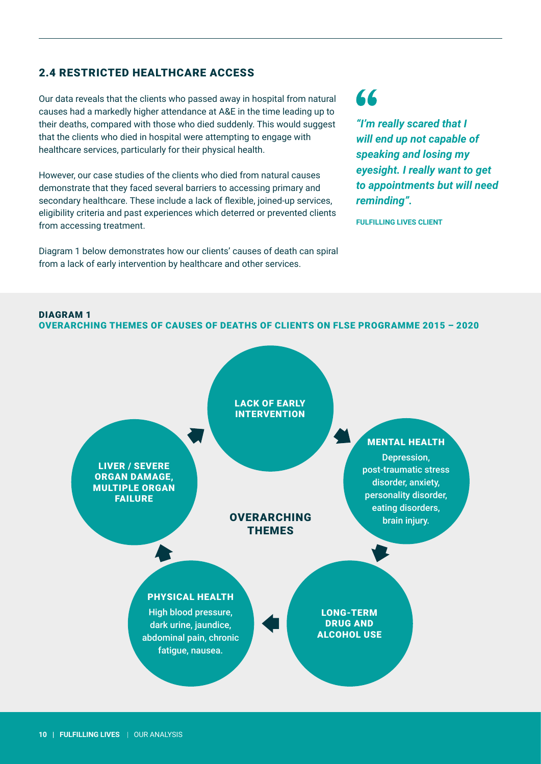### <span id="page-9-0"></span>2.4 RESTRICTED HEALTHCARE ACCESS

Our data reveals that the clients who passed away in hospital from natural causes had a markedly higher attendance at A&E in the time leading up to their deaths, compared with those who died suddenly. This would suggest that the clients who died in hospital were attempting to engage with healthcare services, particularly for their physical health.

However, our case studies of the clients who died from natural causes demonstrate that they faced several barriers to accessing primary and secondary healthcare. These include a lack of flexible, joined-up services, eligibility criteria and past experiences which deterred or prevented clients from accessing treatment.

Diagram 1 below demonstrates how our clients' causes of death can spiral from a lack of early intervention by healthcare and other services.

### 66

*"I'm really scared that I will end up not capable of speaking and losing my eyesight. I really want to get to appointments but will need reminding".*

**FULFILLING LIVES CLIENT**

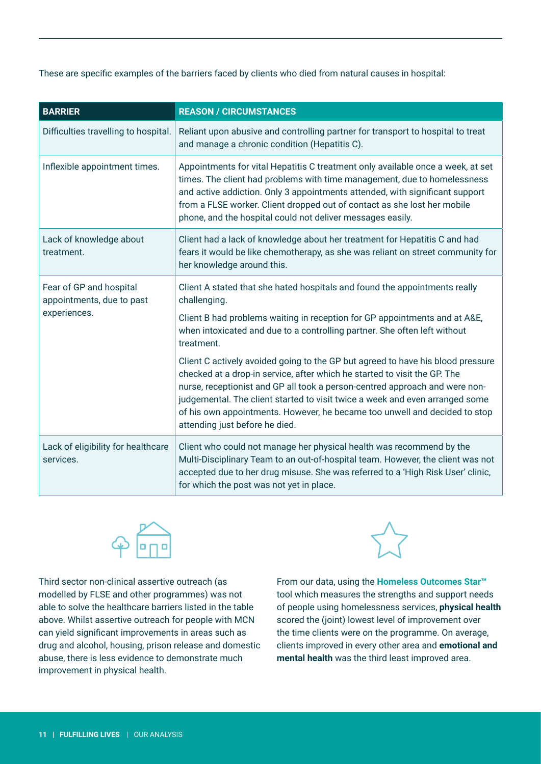These are specific examples of the barriers faced by clients who died from natural causes in hospital:

| <b>BARRIER</b>                                                       | <b>REASON / CIRCUMSTANCES</b>                                                                                                                                                                                                                                                                                                                                                                                                               |
|----------------------------------------------------------------------|---------------------------------------------------------------------------------------------------------------------------------------------------------------------------------------------------------------------------------------------------------------------------------------------------------------------------------------------------------------------------------------------------------------------------------------------|
| Difficulties travelling to hospital.                                 | Reliant upon abusive and controlling partner for transport to hospital to treat<br>and manage a chronic condition (Hepatitis C).                                                                                                                                                                                                                                                                                                            |
| Inflexible appointment times.                                        | Appointments for vital Hepatitis C treatment only available once a week, at set<br>times. The client had problems with time management, due to homelessness<br>and active addiction. Only 3 appointments attended, with significant support<br>from a FLSE worker. Client dropped out of contact as she lost her mobile<br>phone, and the hospital could not deliver messages easily.                                                       |
| Lack of knowledge about<br>treatment.                                | Client had a lack of knowledge about her treatment for Hepatitis C and had<br>fears it would be like chemotherapy, as she was reliant on street community for<br>her knowledge around this.                                                                                                                                                                                                                                                 |
| Fear of GP and hospital<br>appointments, due to past<br>experiences. | Client A stated that she hated hospitals and found the appointments really<br>challenging.                                                                                                                                                                                                                                                                                                                                                  |
|                                                                      | Client B had problems waiting in reception for GP appointments and at A&E,<br>when intoxicated and due to a controlling partner. She often left without<br>treatment.                                                                                                                                                                                                                                                                       |
|                                                                      | Client C actively avoided going to the GP but agreed to have his blood pressure<br>checked at a drop-in service, after which he started to visit the GP. The<br>nurse, receptionist and GP all took a person-centred approach and were non-<br>judgemental. The client started to visit twice a week and even arranged some<br>of his own appointments. However, he became too unwell and decided to stop<br>attending just before he died. |
| Lack of eligibility for healthcare<br>services.                      | Client who could not manage her physical health was recommend by the<br>Multi-Disciplinary Team to an out-of-hospital team. However, the client was not<br>accepted due to her drug misuse. She was referred to a 'High Risk User' clinic,<br>for which the post was not yet in place.                                                                                                                                                      |



Third sector non-clinical assertive outreach (as modelled by FLSE and other programmes) was not able to solve the healthcare barriers listed in the table above. Whilst assertive outreach for people with MCN can yield significant improvements in areas such as drug and alcohol, housing, prison release and domestic abuse, there is less evidence to demonstrate much improvement in physical health.



From our data, using the **Homeless Outcomes Star™** tool which measures the strengths and support needs of people using homelessness services, **physical health**  scored the (joint) lowest level of improvement over the time clients were on the programme. On average, clients improved in every other area and **emotional and mental health** was the third least improved area.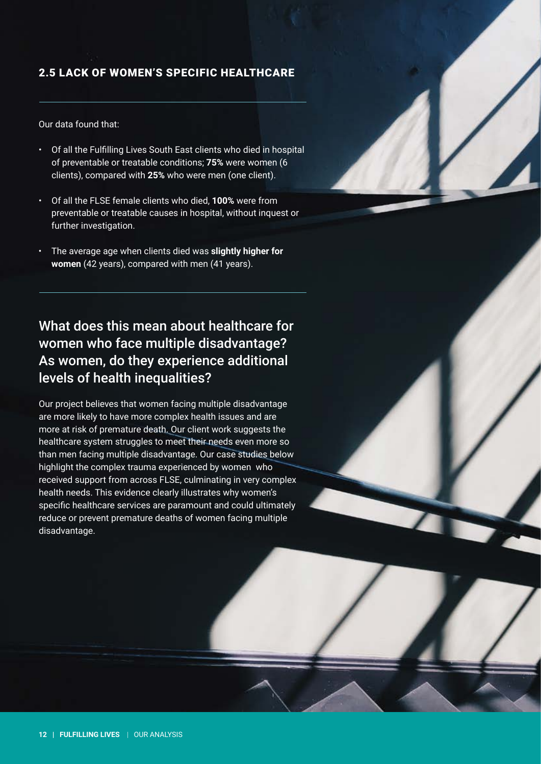### <span id="page-11-0"></span>2.5 LACK OF WOMEN'S SPECIFIC HEALTHCARE

Our data found that:

- Of all the Fulfilling Lives South East clients who died in hospital of preventable or treatable conditions; **75%** were women (6 clients), compared with **25%** who were men (one client).
- Of all the FLSE female clients who died, **100%** were from preventable or treatable causes in hospital, without inquest or further investigation.
- The average age when clients died was **slightly higher for women** (42 years), compared with men (41 years).

What does this mean about healthcare for women who face multiple disadvantage? As women, do they experience additional levels of health inequalities?

Our project believes that women facing multiple disadvantage are more likely to have more complex health issues and are more at risk of premature death. Our client work suggests the healthcare system struggles to meet their needs even more so than men facing multiple disadvantage. Our case studies below highlight the complex trauma experienced by women who received support from across FLSE, culminating in very complex health needs. This evidence clearly illustrates why women's specific healthcare services are paramount and could ultimately reduce or prevent premature deaths of women facing multiple disadvantage.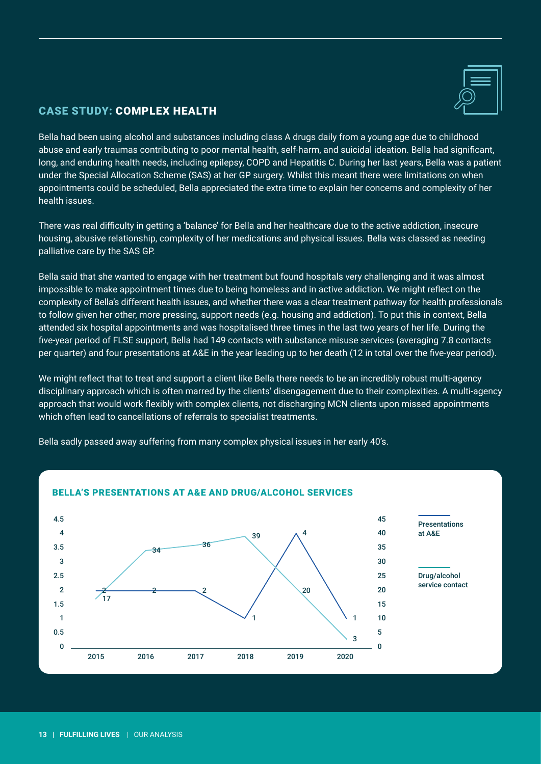

### CASE STUDY: COMPLEX HEALTH

Bella had been using alcohol and substances including class A drugs daily from a young age due to childhood abuse and early traumas contributing to poor mental health, self-harm, and suicidal ideation. Bella had significant, long, and enduring health needs, including epilepsy, COPD and Hepatitis C. During her last years, Bella was a patient under the Special Allocation Scheme (SAS) at her GP surgery. Whilst this meant there were limitations on when appointments could be scheduled, Bella appreciated the extra time to explain her concerns and complexity of her health issues.

There was real difficulty in getting a 'balance' for Bella and her healthcare due to the active addiction, insecure housing, abusive relationship, complexity of her medications and physical issues. Bella was classed as needing palliative care by the SAS GP.

Bella said that she wanted to engage with her treatment but found hospitals very challenging and it was almost impossible to make appointment times due to being homeless and in active addiction. We might reflect on the complexity of Bella's different health issues, and whether there was a clear treatment pathway for health professionals to follow given her other, more pressing, support needs (e.g. housing and addiction). To put this in context, Bella attended six hospital appointments and was hospitalised three times in the last two years of her life. During the five-year period of FLSE support, Bella had 149 contacts with substance misuse services (averaging 7.8 contacts per quarter) and four presentations at A&E in the year leading up to her death (12 in total over the five-year period).

We might reflect that to treat and support a client like Bella there needs to be an incredibly robust multi-agency disciplinary approach which is often marred by the clients' disengagement due to their complexities. A multi-agency approach that would work flexibly with complex clients, not discharging MCN clients upon missed appointments which often lead to cancellations of referrals to specialist treatments.

Bella sadly passed away suffering from many complex physical issues in her early 40's.



#### BELLA'S PRESENTATIONS AT A&E AND DRUG/ALCOHOL SERVICES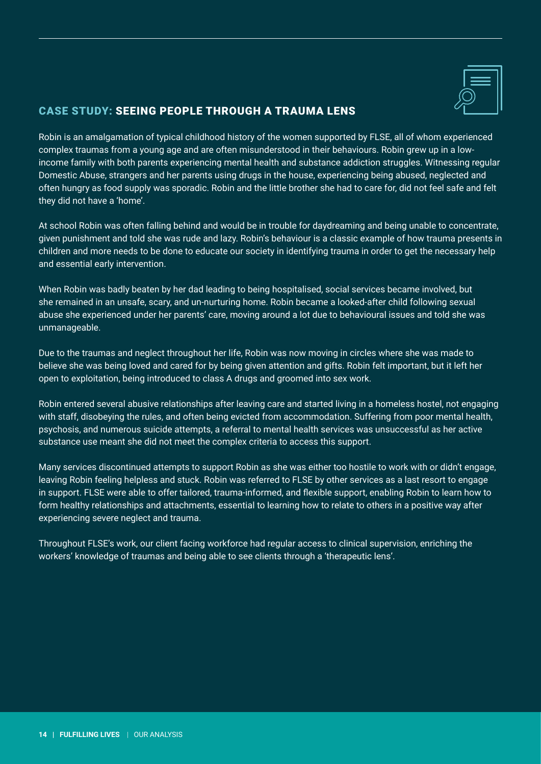

### CASE STUDY: SEEING PEOPLE THROUGH A TRAUMA LENS

Robin is an amalgamation of typical childhood history of the women supported by FLSE, all of whom experienced complex traumas from a young age and are often misunderstood in their behaviours. Robin grew up in a lowincome family with both parents experiencing mental health and substance addiction struggles. Witnessing regular Domestic Abuse, strangers and her parents using drugs in the house, experiencing being abused, neglected and often hungry as food supply was sporadic. Robin and the little brother she had to care for, did not feel safe and felt they did not have a 'home'.

At school Robin was often falling behind and would be in trouble for daydreaming and being unable to concentrate, given punishment and told she was rude and lazy. Robin's behaviour is a classic example of how trauma presents in children and more needs to be done to educate our society in identifying trauma in order to get the necessary help and essential early intervention.

When Robin was badly beaten by her dad leading to being hospitalised, social services became involved, but she remained in an unsafe, scary, and un-nurturing home. Robin became a looked-after child following sexual abuse she experienced under her parents' care, moving around a lot due to behavioural issues and told she was unmanageable.

Due to the traumas and neglect throughout her life, Robin was now moving in circles where she was made to believe she was being loved and cared for by being given attention and gifts. Robin felt important, but it left her open to exploitation, being introduced to class A drugs and groomed into sex work.

Robin entered several abusive relationships after leaving care and started living in a homeless hostel, not engaging with staff, disobeying the rules, and often being evicted from accommodation. Suffering from poor mental health, psychosis, and numerous suicide attempts, a referral to mental health services was unsuccessful as her active substance use meant she did not meet the complex criteria to access this support.

Many services discontinued attempts to support Robin as she was either too hostile to work with or didn't engage, leaving Robin feeling helpless and stuck. Robin was referred to FLSE by other services as a last resort to engage in support. FLSE were able to offer tailored, trauma-informed, and flexible support, enabling Robin to learn how to form healthy relationships and attachments, essential to learning how to relate to others in a positive way after experiencing severe neglect and trauma.

Throughout FLSE's work, our client facing workforce had regular access to clinical supervision, enriching the workers' knowledge of traumas and being able to see clients through a 'therapeutic lens'.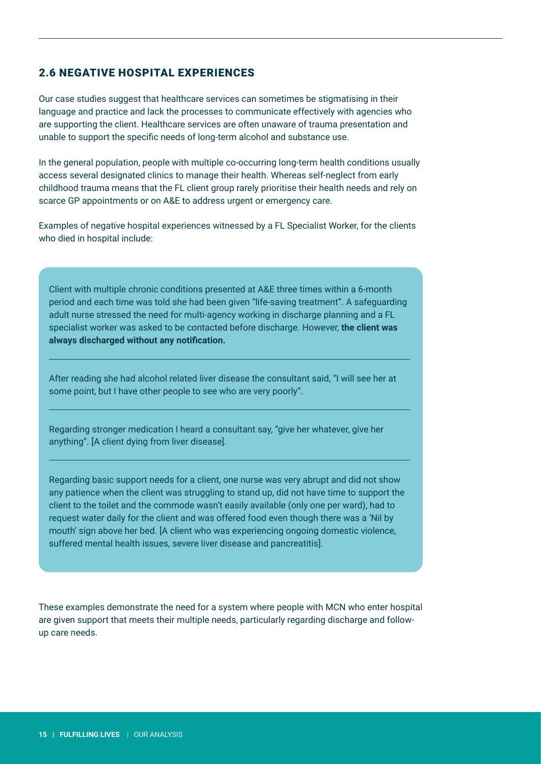### <span id="page-14-0"></span>2.6 NEGATIVE HOSPITAL EXPERIENCES

Our case studies suggest that healthcare services can sometimes be stigmatising in their language and practice and lack the processes to communicate effectively with agencies who are supporting the client. Healthcare services are often unaware of trauma presentation and unable to support the specific needs of long-term alcohol and substance use.

In the general population, people with multiple co-occurring long-term health conditions usually access several designated clinics to manage their health. Whereas self-neglect from early childhood trauma means that the FL client group rarely prioritise their health needs and rely on scarce GP appointments or on A&E to address urgent or emergency care.

Examples of negative hospital experiences witnessed by a FL Specialist Worker, for the clients who died in hospital include:

Client with multiple chronic conditions presented at A&E three times within a 6-month period and each time was told she had been given "life-saving treatment". A safeguarding adult nurse stressed the need for multi-agency working in discharge planning and a FL specialist worker was asked to be contacted before discharge. However, **the client was always discharged without any notification.**

After reading she had alcohol related liver disease the consultant said, "I will see her at some point, but I have other people to see who are very poorly".

Regarding stronger medication I heard a consultant say, "give her whatever, give her anything". [A client dying from liver disease].

Regarding basic support needs for a client, one nurse was very abrupt and did not show any patience when the client was struggling to stand up, did not have time to support the client to the toilet and the commode wasn't easily available (only one per ward), had to request water daily for the client and was offered food even though there was a 'Nil by mouth' sign above her bed. [A client who was experiencing ongoing domestic violence, suffered mental health issues, severe liver disease and pancreatitis].

These examples demonstrate the need for a system where people with MCN who enter hospital are given support that meets their multiple needs, particularly regarding discharge and followup care needs.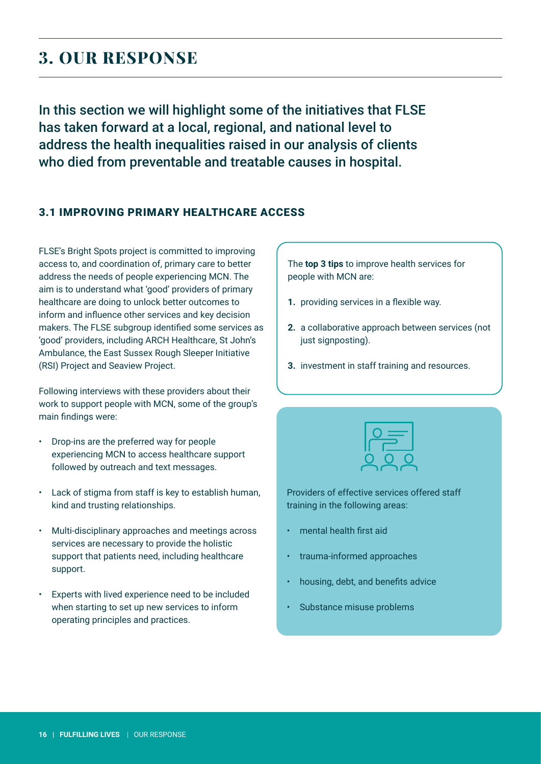### <span id="page-15-0"></span>**3. OUR RESPONSE**

In this section we will highlight some of the initiatives that FLSE has taken forward at a local, regional, and national level to address the health inequalities raised in our analysis of clients who died from preventable and treatable causes in hospital.

### 3.1 IMPROVING PRIMARY HEALTHCARE ACCESS

FLSE's Bright Spots project is committed to improving access to, and coordination of, primary care to better address the needs of people experiencing MCN. The aim is to understand what 'good' providers of primary healthcare are doing to unlock better outcomes to inform and influence other services and key decision makers. The FLSE subgroup identified some services as 'good' providers, including ARCH Healthcare, St John's Ambulance, the East Sussex Rough Sleeper Initiative (RSI) Project and Seaview Project.

Following interviews with these providers about their work to support people with MCN, some of the group's main findings were:

- Drop-ins are the preferred way for people experiencing MCN to access healthcare support followed by outreach and text messages.
- Lack of stigma from staff is key to establish human, kind and trusting relationships.
- Multi-disciplinary approaches and meetings across services are necessary to provide the holistic support that patients need, including healthcare support.
- Experts with lived experience need to be included when starting to set up new services to inform operating principles and practices.

The **top 3 tips** to improve health services for people with MCN are:

- **1.** providing services in a flexible way.
- **2.** a collaborative approach between services (not just signposting).
- **3.** investment in staff training and resources.



Providers of effective services offered staff training in the following areas:

- mental health first aid
- trauma-informed approaches
- housing, debt, and benefits advice
- Substance misuse problems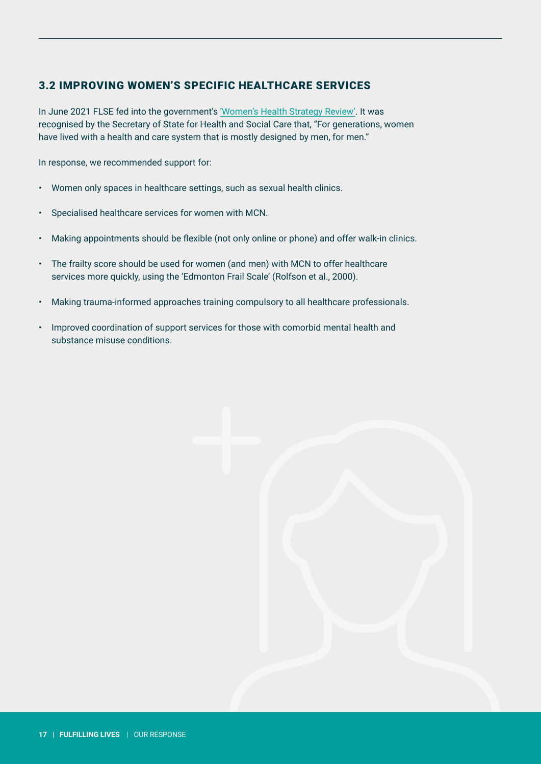### <span id="page-16-0"></span>3.2 IMPROVING WOMEN'S SPECIFIC HEALTHCARE SERVICES

In June 2021 FLSE fed into the government's ['Women's Health Strategy Review'](https://www.gov.uk/government/consultations/womens-health-strategy-call-for-evidence/womens-health-strategy-call-for-evidence). It was recognised by the Secretary of State for Health and Social Care that, "For generations, women have lived with a health and care system that is mostly designed by men, for men."

In response, we recommended support for:

- Women only spaces in healthcare settings, such as sexual health clinics.
- Specialised healthcare services for women with MCN.
- Making appointments should be flexible (not only online or phone) and offer walk-in clinics.
- The frailty score should be used for women (and men) with MCN to offer healthcare services more quickly, using the 'Edmonton Frail Scale' (Rolfson et al., 2000).
- Making trauma-informed approaches training compulsory to all healthcare professionals.
- Improved coordination of support services for those with comorbid mental health and substance misuse conditions.

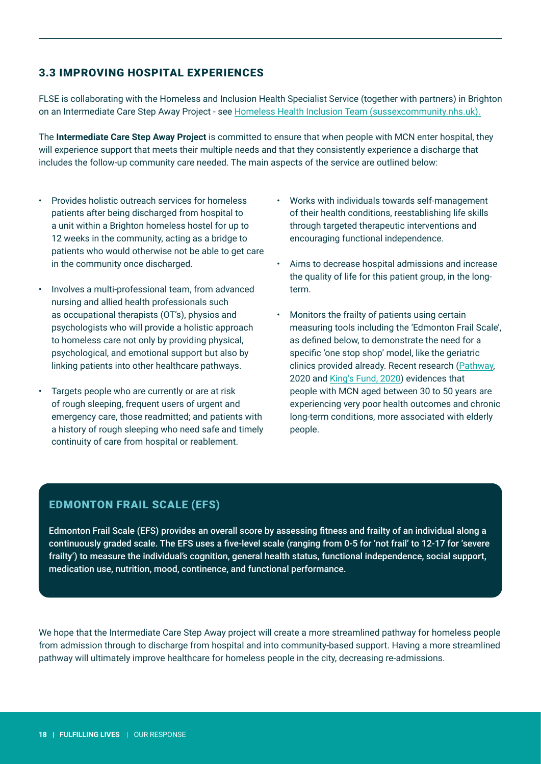### <span id="page-17-0"></span>3.3 IMPROVING HOSPITAL EXPERIENCES

FLSE is collaborating with the Homeless and Inclusion Health Specialist Service (together with partners) in Brighton on an Intermediate Care Step Away Project - see [Homeless Health Inclusion Team \(sussexcommunity.nhs.uk\).](https://www.sussexcommunity.nhs.uk/services/all-services.htm?postid=390823)

The **Intermediate Care Step Away Project** is committed to ensure that when people with MCN enter hospital, they will experience support that meets their multiple needs and that they consistently experience a discharge that includes the follow-up community care needed. The main aspects of the service are outlined below:

- Provides holistic outreach services for homeless patients after being discharged from hospital to a unit within a Brighton homeless hostel for up to 12 weeks in the community, acting as a bridge to patients who would otherwise not be able to get care in the community once discharged.
- Involves a multi-professional team, from advanced nursing and allied health professionals such as occupational therapists (OT's), physios and psychologists who will provide a holistic approach to homeless care not only by providing physical, psychological, and emotional support but also by linking patients into other healthcare pathways.
- Targets people who are currently or are at risk of rough sleeping, frequent users of urgent and emergency care, those readmitted; and patients with a history of rough sleeping who need safe and timely continuity of care from hospital or reablement.
- Works with individuals towards self-management of their health conditions, reestablishing life skills through targeted therapeutic interventions and encouraging functional independence.
- Aims to decrease hospital admissions and increase the quality of life for this patient group, in the longterm.
- Monitors the frailty of patients using certain measuring tools including the 'Edmonton Frail Scale', as defined below, to demonstrate the need for a specific 'one stop shop' model, like the geriatric clinics provided already. Recent research [\(Pathway,](https://www.pathway.org.uk/frailty-among-the-homeless-population-comparable-to-that-of-89-year-olds-in-the-general-population/) 2020 and [King's Fund, 2020\)](https://www.kingsfund.org.uk/publications/delivering-health-care-people-sleep-rough) evidences that people with MCN aged between 30 to 50 years are experiencing very poor health outcomes and chronic long-term conditions, more associated with elderly people.

### EDMONTON FRAIL SCALE (EFS)

Edmonton Frail Scale (EFS) provides an overall score by assessing fitness and frailty of an individual along a continuously graded scale. The EFS uses a five-level scale (ranging from 0-5 for 'not frail' to 12-17 for 'severe frailty') to measure the individual's cognition, general health status, functional independence, social support, medication use, nutrition, mood, continence, and functional performance.

We hope that the Intermediate Care Step Away project will create a more streamlined pathway for homeless people from admission through to discharge from hospital and into community-based support. Having a more streamlined pathway will ultimately improve healthcare for homeless people in the city, decreasing re-admissions.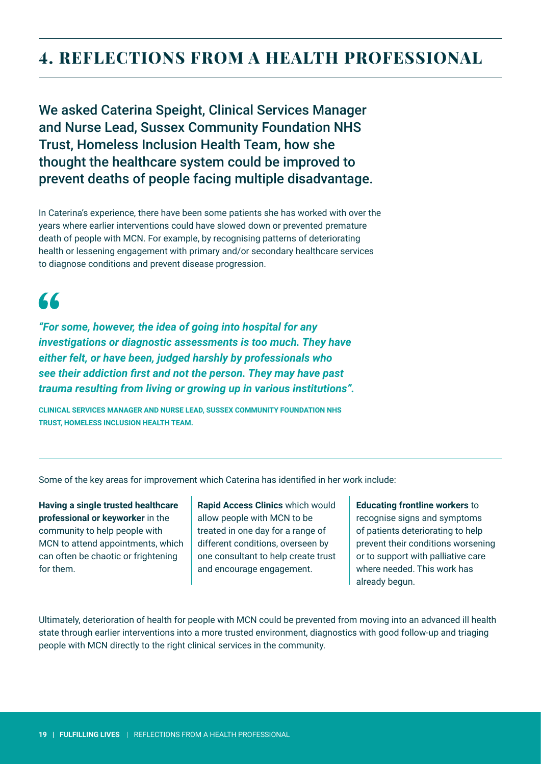### <span id="page-18-0"></span>**4. REFLECTIONS FROM A HEALTH PROFESSIONAL**

We asked Caterina Speight, Clinical Services Manager and Nurse Lead, Sussex Community Foundation NHS Trust, Homeless Inclusion Health Team, how she thought the healthcare system could be improved to prevent deaths of people facing multiple disadvantage.

In Caterina's experience, there have been some patients she has worked with over the years where earlier interventions could have slowed down or prevented premature death of people with MCN. For example, by recognising patterns of deteriorating health or lessening engagement with primary and/or secondary healthcare services to diagnose conditions and prevent disease progression.

## 66

*"For some, however, the idea of going into hospital for any investigations or diagnostic assessments is too much. They have either felt, or have been, judged harshly by professionals who see their addiction first and not the person. They may have past trauma resulting from living or growing up in various institutions".*

**CLINICAL SERVICES MANAGER AND NURSE LEAD, SUSSEX COMMUNITY FOUNDATION NHS TRUST, HOMELESS INCLUSION HEALTH TEAM.**

Some of the key areas for improvement which Caterina has identified in her work include:

**Having a single trusted healthcare professional or keyworker** in the community to help people with MCN to attend appointments, which can often be chaotic or frightening for them.

**Rapid Access Clinics** which would allow people with MCN to be treated in one day for a range of different conditions, overseen by one consultant to help create trust and encourage engagement.

**Educating frontline workers** to recognise signs and symptoms of patients deteriorating to help prevent their conditions worsening or to support with palliative care where needed. This work has already begun.

Ultimately, deterioration of health for people with MCN could be prevented from moving into an advanced ill health state through earlier interventions into a more trusted environment, diagnostics with good follow-up and triaging people with MCN directly to the right clinical services in the community.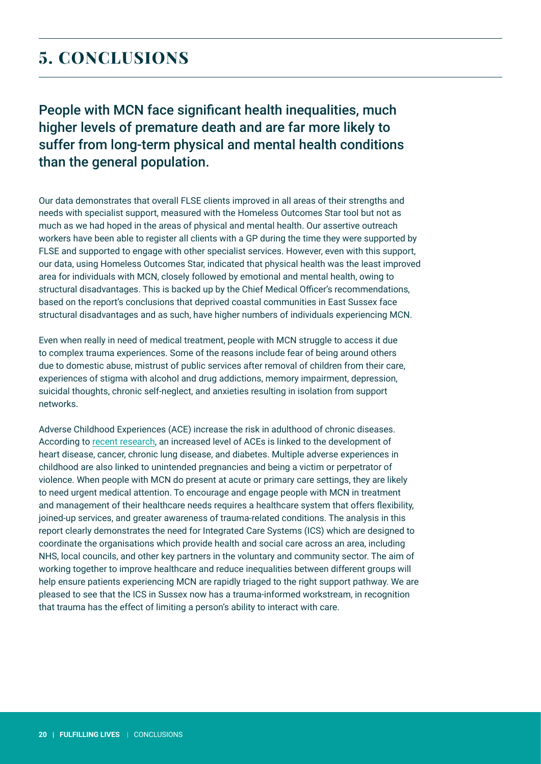### <span id="page-19-0"></span>**5. CONCLUSIONS**

People with MCN face significant health inequalities, much higher levels of premature death and are far more likely to suffer from long-term physical and mental health conditions than the general population.

Our data demonstrates that overall FLSE clients improved in all areas of their strengths and needs with specialist support, measured with the Homeless Outcomes Star tool but not as much as we had hoped in the areas of physical and mental health. Our assertive outreach workers have been able to register all clients with a GP during the time they were supported by FLSE and supported to engage with other specialist services. However, even with this support, our data, using Homeless Outcomes Star, indicated that physical health was the least improved area for individuals with MCN, closely followed by emotional and mental health, owing to structural disadvantages. This is backed up by the Chief Medical Officer's recommendations, based on the report's conclusions that deprived coastal communities in East Sussex face structural disadvantages and as such, have higher numbers of individuals experiencing MCN.

Even when really in need of medical treatment, people with MCN struggle to access it due to complex trauma experiences. Some of the reasons include fear of being around others due to domestic abuse, mistrust of public services after removal of children from their care, experiences of stigma with alcohol and drug addictions, memory impairment, depression, suicidal thoughts, chronic self-neglect, and anxieties resulting in isolation from support networks.

Adverse Childhood Experiences (ACE) increase the risk in adulthood of chronic diseases. According to [recent research,](https://bmcmedicine.biomedcentral.com/articles/10.1186/1741-7015-12-72) an increased level of ACEs is linked to the development of heart disease, cancer, chronic lung disease, and diabetes. Multiple adverse experiences in childhood are also linked to unintended pregnancies and being a victim or perpetrator of violence. When people with MCN do present at acute or primary care settings, they are likely to need urgent medical attention. To encourage and engage people with MCN in treatment and management of their healthcare needs requires a healthcare system that offers flexibility, joined-up services, and greater awareness of trauma-related conditions. The analysis in this report clearly demonstrates the need for Integrated Care Systems (ICS) which are designed to coordinate the organisations which provide health and social care across an area, including NHS, local councils, and other key partners in the voluntary and community sector. The aim of working together to improve healthcare and reduce inequalities between different groups will help ensure patients experiencing MCN are rapidly triaged to the right support pathway. We are pleased to see that the ICS in Sussex now has a trauma-informed workstream, in recognition that trauma has the effect of limiting a person's ability to interact with care.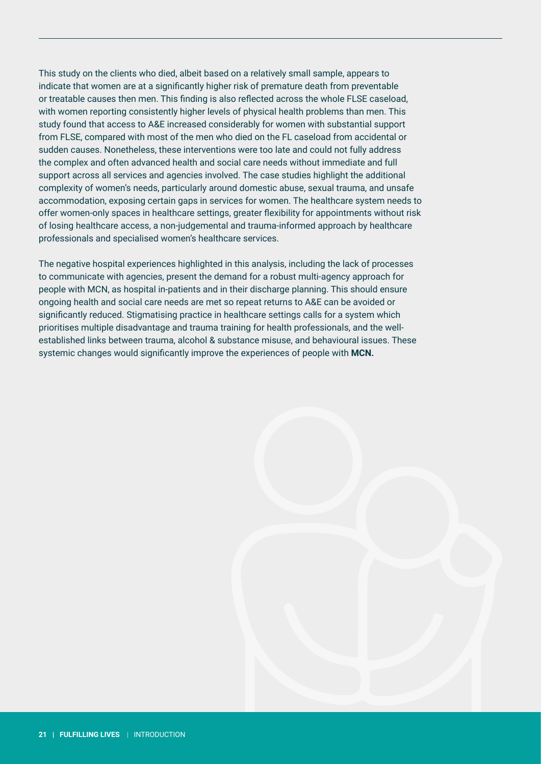This study on the clients who died, albeit based on a relatively small sample, appears to indicate that women are at a significantly higher risk of premature death from preventable or treatable causes then men. This finding is also reflected across the whole FLSE caseload, with women reporting consistently higher levels of physical health problems than men. This study found that access to A&E increased considerably for women with substantial support from FLSE, compared with most of the men who died on the FL caseload from accidental or sudden causes. Nonetheless, these interventions were too late and could not fully address the complex and often advanced health and social care needs without immediate and full support across all services and agencies involved. The case studies highlight the additional complexity of women's needs, particularly around domestic abuse, sexual trauma, and unsafe accommodation, exposing certain gaps in services for women. The healthcare system needs to offer women-only spaces in healthcare settings, greater flexibility for appointments without risk of losing healthcare access, a non-judgemental and trauma-informed approach by healthcare professionals and specialised women's healthcare services.

The negative hospital experiences highlighted in this analysis, including the lack of processes to communicate with agencies, present the demand for a robust multi-agency approach for people with MCN, as hospital in-patients and in their discharge planning. This should ensure ongoing health and social care needs are met so repeat returns to A&E can be avoided or significantly reduced. Stigmatising practice in healthcare settings calls for a system which prioritises multiple disadvantage and trauma training for health professionals, and the wellestablished links between trauma, alcohol & substance misuse, and behavioural issues. These systemic changes would significantly improve the experiences of people with **MCN.**

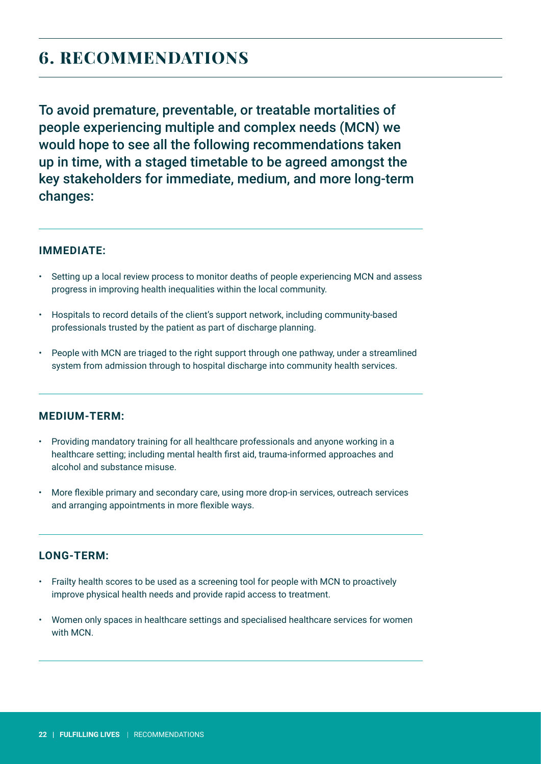### <span id="page-21-0"></span>**6. RECOMMENDATIONS**

To avoid premature, preventable, or treatable mortalities of people experiencing multiple and complex needs (MCN) we would hope to see all the following recommendations taken up in time, with a staged timetable to be agreed amongst the key stakeholders for immediate, medium, and more long-term changes:

### **IMMEDIATE:**

- Setting up a local review process to monitor deaths of people experiencing MCN and assess progress in improving health inequalities within the local community.
- Hospitals to record details of the client's support network, including community-based professionals trusted by the patient as part of discharge planning.
- People with MCN are triaged to the right support through one pathway, under a streamlined system from admission through to hospital discharge into community health services.

### **MEDIUM-TERM:**

- Providing mandatory training for all healthcare professionals and anyone working in a healthcare setting; including mental health first aid, trauma-informed approaches and alcohol and substance misuse.
- More flexible primary and secondary care, using more drop-in services, outreach services and arranging appointments in more flexible ways.

### **LONG-TERM:**

- Frailty health scores to be used as a screening tool for people with MCN to proactively improve physical health needs and provide rapid access to treatment.
- Women only spaces in healthcare settings and specialised healthcare services for women with MCN.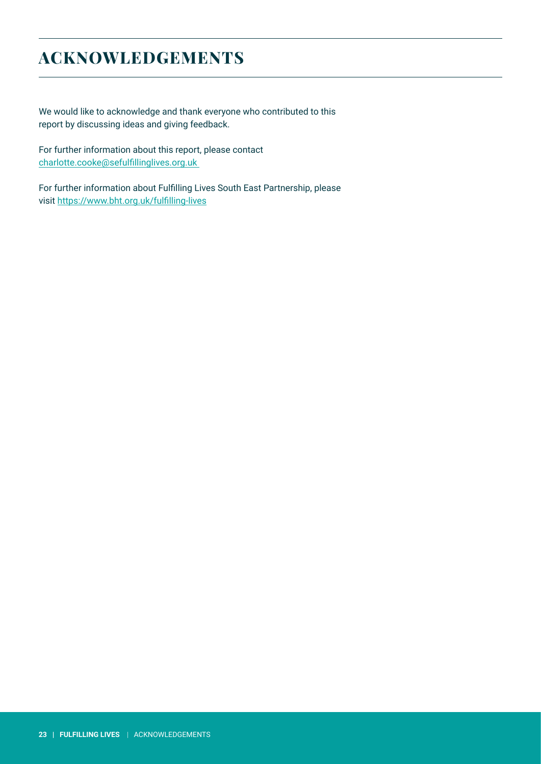### <span id="page-22-0"></span>**ACKNOWLEDGEMENTS**

We would like to acknowledge and thank everyone who contributed to this report by discussing ideas and giving feedback.

For further information about this report, please contact [charlotte.cooke@sefulfillinglives.org.uk](mailto:charlotte.cooke%40sefulfillinglives.org.uk%20%20?subject=) 

For further information about Fulfilling Lives South East Partnership, please visit <https://www.bht.org.uk/fulfilling-lives>